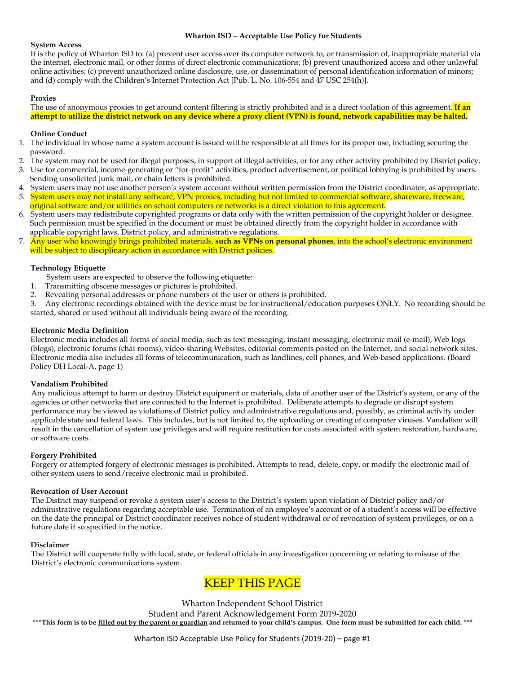#### **Wharton ISD – Acceptable Use Policy for Students**

#### **System Access**

It is the policy of Wharton ISD to: (a) prevent user access over its computer network to, or transmission of, inappropriate material via the internet, electronic mail, or other forms of direct electronic communications; (b) prevent unauthorized access and other unlawful online activities; (c) prevent unauthorized online disclosure, use, or dissemination of personal identification information of minors; and (d) comply with the Children's Internet Protection Act [Pub. L. No. 106-554 and 47 USC 254(h)].

#### **Proxies**

The use of anonymous proxies to get around content filtering is strictly prohibited and is a direct violation of this agreement. **If an attempt to utilize the district network on any device where a proxy client (VPN) is found, network capabilities may be halted.**

#### **Online Conduct**

- 1. The individual in whose name a system account is issued will be responsible at all times for its proper use, including securing the password.
- 2. The system may not be used for illegal purposes, in support of illegal activities, or for any other activity prohibited by District policy.
- 3. Use for commercial, income-generating or "for-profit" activities, product advertisement, or political lobbying is prohibited by users. Sending unsolicited junk mail, or chain letters is prohibited.
- 4. System users may not use another person's system account without written permission from the District coordinator, as appropriate.
- 5. System users may not install any software, VPN proxies, including but not limited to commercial software, shareware, freeware, original software and/or utilities on school computers or networks is a direct violation to this agreement.
- 6. System users may redistribute copyrighted programs or data only with the written permission of the copyright holder or designee. Such permission must be specified in the document or must be obtained directly from the copyright holder in accordance with applicable copyright laws, District policy, and administrative regulations.
- 7. Any user who knowingly brings prohibited materials, **such as VPNs on personal phones**, into the school's electronic environment will be subject to disciplinary action in accordance with District policies.

#### **Technology Etiquette**

System users are expected to observe the following etiquette:

- 1. Transmitting obscene messages or pictures is prohibited.
- 2. Revealing personal addresses or phone numbers of the user or others is prohibited.
- 3. Any electronic recordings obtained with the device must be for instructional/education purposes ONLY. No recording should be started, shared or used without all individuals being aware of the recording.

#### **Electronic Media Definition**

Electronic media includes all forms of social media, such as text messaging, instant messaging, electronic mail (e-mail), Web logs (blogs), electronic forums (chat rooms), video-sharing Websites, editorial comments posted on the Internet, and social network sites. Electronic media also includes all forms of telecommunication, such as landlines, cell phones, and Web-based applications. (Board Policy DH Local-A, page 1)

#### **Vandalism Prohibited**

Any malicious attempt to harm or destroy District equipment or materials, data of another user of the District's system, or any of the agencies or other networks that are connected to the Internet is prohibited. Deliberate attempts to degrade or disrupt system performance may be viewed as violations of District policy and administrative regulations and, possibly, as criminal activity under applicable state and federal laws. This includes, but is not limited to, the uploading or creating of computer viruses. Vandalism will result in the cancellation of system use privileges and will require restitution for costs associated with system restoration, hardware, or software costs.

#### **Forgery Prohibited**

Forgery or attempted forgery of electronic messages is prohibited. Attempts to read, delete, copy, or modify the electronic mail of other system users to send/receive electronic mail is prohibited.

#### **Revocation of User Account**

The District may suspend or revoke a system user's access to the District's system upon violation of District policy and/or administrative regulations regarding acceptable use. Termination of an employee's account or of a student's access will be effective on the date the principal or District coordinator receives notice of student withdrawal or of revocation of system privileges, or on a future date if so specified in the notice.

#### **Disclaimer**

The District will cooperate fully with local, state, or federal officials in any investigation concerning or relating to misuse of the District's electronic communications system.

## KEEP THIS PAGE

Wharton Independent School District

Student and Parent Acknowledgement Form 2019-2020

\*\*\* This form is to be *filled out by the parent or guardian* and returned to your child's campus. One form must be submitted for each child. \*\*\*

Wharton ISD Acceptable Use Policy for Students (2019-20) – page #1